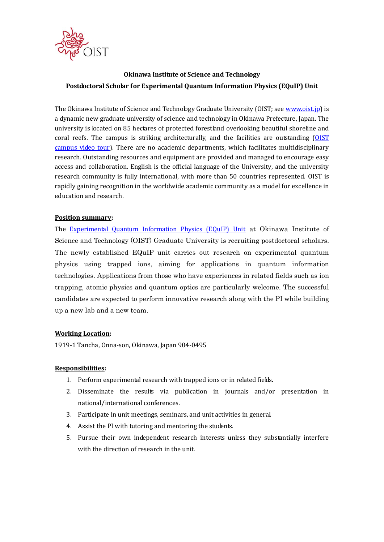

# **Okinawa Institute of Science and Technology Postdoctoral Scholar for Experimental Quantum Information Physics (EQuIP) Unit**

The Okinawa Institute of Science and Technology Graduate University (OIST; see [www.oist.jp\)](http://www.oist.jp/) is a dynamic new graduate university of science and technology in Okinawa Prefecture, Japan. The university is located on 85 hectares of protected forestland overlooking beautiful shoreline and coral reefs. The campus is striking architecturally, and the facilities are outstanding [\(OIST](https://youtu.be/OLeylXbZDpo)  [campus video tour\)](https://youtu.be/OLeylXbZDpo). There are no academic departments, which facilitates multidisciplinary research. Outstanding resources and equipment are provided and managed to encourage easy access and collaboration. English is the official language of the University, and the university research community is fully international, with more than 50 countries represented. OIST is rapidly gaining recognition in the worldwide academic community as a model for excellence in education and research.

#### **Position summary:**

The [Experimental Quantum Information Physics \(EQuIP\) Unit](https://groups.oist.jp/equip) at Okinawa Institute of Science and Technology (OIST) Graduate University is recruiting postdoctoral scholars. The newly established EQuIP unit carries out research on experimental quantum physics using trapped ions, aiming for applications in quantum information technologies. Applications from those who have experiences in related fields such as ion trapping, atomic physics and quantum optics are particularly welcome. The successful candidates are expected to perform innovative research along with the PI while building up a new lab and a new team.

#### **Working Location:**

1919-1 Tancha, Onna-son, Okinawa, Japan 904-0495

#### **Responsibilities:**

- 1. Perform experimental research with trapped ions or in related fields.
- 2. Disseminate the results via publication in journals and/or presentation in national/international conferences.
- 3. Participate in unit meetings, seminars, and unit activities in general.
- 4. Assist the PI with tutoring and mentoring the students.
- 5. Pursue their own independent research interests unless they substantially interfere with the direction of research in the unit.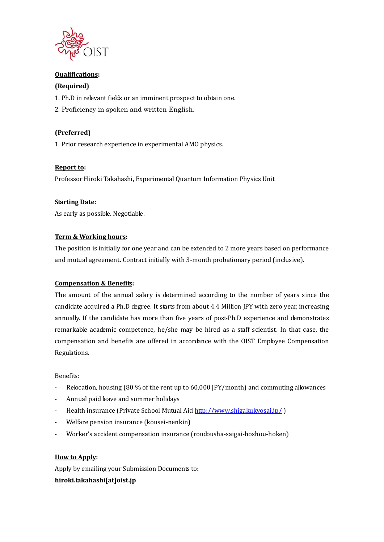

## **Qualifications:**

## **(Required)**

- 1. Ph.D in relevant fields or an imminent prospect to obtain one.
- 2. Proficiency in spoken and written English.

# **(Preferred)**

1. Prior research experience in experimental AMO physics.

## **Report to:**

Professor Hiroki Takahashi, Experimental Quantum Information Physics Unit

## **Starting Date:**

As early as possible. Negotiable.

## **Term & Working hours:**

The position is initially for one year and can be extended to 2 more years based on performance and mutual agreement. Contract initially with 3-month probationary period (inclusive).

## **Compensation & Benefits:**

The amount of the annual salary is determined according to the number of years since the candidate acquired a Ph.D degree. It starts from about 4.4 Million JPY with zero year, increasing annually. If the candidate has more than five years of post-Ph.D experience and demonstrates remarkable academic competence, he/she may be hired as a staff scientist. In that case, the compensation and benefits are offered in accordance with the OIST Employee Compensation Regulations.

## Benefits:

- Relocation, housing (80 % of the rent up to 60,000 JPY/month) and commuting allowances
- Annual paid leave and summer holidays
- Health insurance (Private School Mutual Aid<http://www.shigakukyosai.jp/>)
- Welfare pension insurance (kousei-nenkin)
- Worker's accident compensation insurance (roudousha-saigai-hoshou-hoken)

## **How to Apply:**

Apply by emailing your Submission Documents to: **hiroki.takahashi[at]oist.jp**